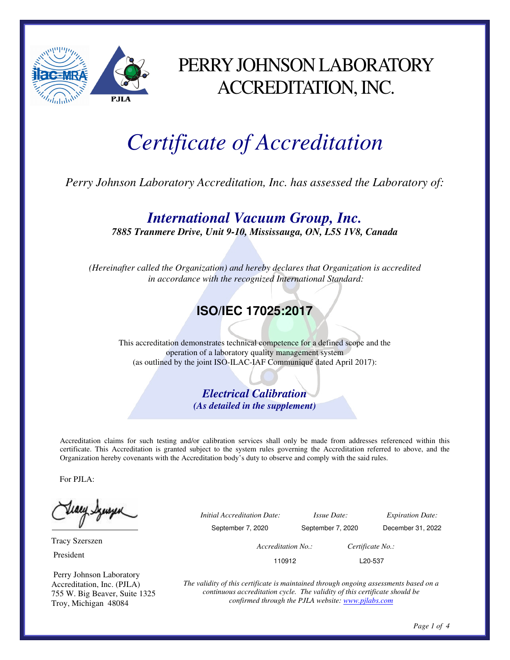

### PERRY JOHNSON LABORATORY ACCREDITATION, INC.

# *Certificate of Accreditation*

*Perry Johnson Laboratory Accreditation, Inc. has assessed the Laboratory of:* 

*International Vacuum Group, Inc.* 

*7885 Tranmere Drive, Unit 9-10, Mississauga, ON, L5S 1V8, Canada* 

*(Hereinafter called the Organization) and hereby declares that Organization is accredited in accordance with the recognized International Standard:* 

#### **ISO/IEC 17025:2017**

This accreditation demonstrates technical competence for a defined scope and the operation of a laboratory quality management system (as outlined by the joint ISO-ILAC-IAF Communiqué dated April 2017):

> *Electrical Calibration (As detailed in the supplement)*

Accreditation claims for such testing and/or calibration services shall only be made from addresses referenced within this certificate. This Accreditation is granted subject to the system rules governing the Accreditation referred to above, and the Organization hereby covenants with the Accreditation body's duty to observe and comply with the said rules.

For PJLA:

 Tracy Szerszen President

 Perry Johnson Laboratory Accreditation, Inc. (PJLA) 755 W. Big Beaver, Suite 1325 Troy, Michigan 48084

 *Initial Accreditation Date: Issue Date: Expiration Date:*  September 7, 2020 September 7, 2020 December 31, 2022 *Accreditation No.: Certificate No.:*  110912 L20-537

> *The validity of this certificate is maintained through ongoing assessments based on a continuous accreditation cycle. The validity of this certificate should be confirmed through the PJLA website: www.pjlabs.com*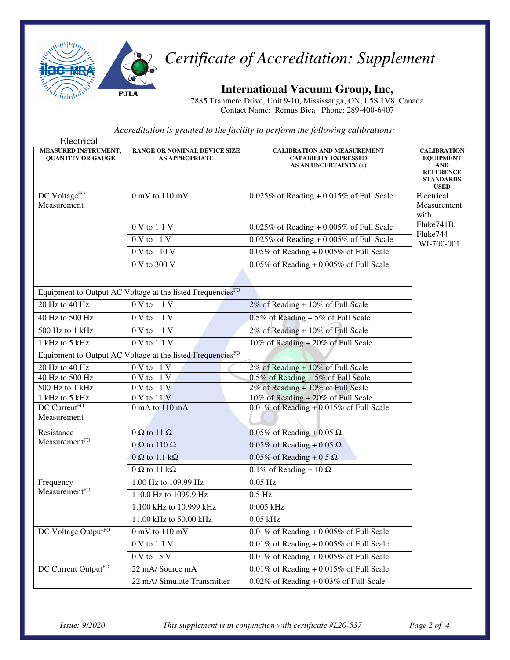

#### *Certificate of Accreditation: Supplement*

**International Vacuum Group, Inc,** 

7885 Tranmere Drive, Unit 9-10, Mississauga, ON, L5S 1V8, Canada Contact Name: Remus Bica Phone: 289-400-6407

*Accreditation is granted to the facility to perform the following calibrations:*

| Electrical                                       |                                                                        |                                                                                            |                                                                                                      |
|--------------------------------------------------|------------------------------------------------------------------------|--------------------------------------------------------------------------------------------|------------------------------------------------------------------------------------------------------|
| MEASURED INSTRUMENT,<br><b>QUANTITY OR GAUGE</b> | <b>RANGE OR NOMINAL DEVICE SIZE</b><br><b>AS APPROPRIATE</b>           | <b>CALIBRATION AND MEASUREMENT</b><br><b>CAPABILITY EXPRESSED</b><br>AS AN UNCERTAINTY (±) | <b>CALIBRATION</b><br><b>EQUIPMENT</b><br>AND<br><b>REFERENCE</b><br><b>STANDARDS</b><br><b>USED</b> |
| DC VoltageFO                                     | $0$ mV to $110$ mV                                                     | $0.025\%$ of Reading + 0.015% of Full Scale                                                | Electrical                                                                                           |
| Measurement                                      |                                                                        |                                                                                            | Measurement<br>with                                                                                  |
|                                                  | $0 V$ to $1.1 V$                                                       | $0.025\%$ of Reading + $0.005\%$ of Full Scale                                             | Fluke741B,<br>Fluke744                                                                               |
|                                                  | 0 V to 11 V                                                            | $0.025\%$ of Reading + 0.005% of Full Scale                                                | WI-700-001                                                                                           |
|                                                  | 0 V to 110 V                                                           | $0.05\%$ of Reading + $0.005\%$ of Full Scale                                              |                                                                                                      |
|                                                  | 0 V to 300 V                                                           | $0.05\%$ of Reading + $0.005\%$ of Full Scale                                              |                                                                                                      |
|                                                  | Equipment to Output AC Voltage at the listed FrequenciesFO             |                                                                                            |                                                                                                      |
| 20 Hz to 40 Hz                                   | 0 V to 1.1 V                                                           | 2% of Reading + 10% of Full Scale                                                          |                                                                                                      |
| 40 Hz to 500 Hz                                  | 0 V to 1.1 V                                                           | $0.5\%$ of Reading + 5% of Full Scale                                                      |                                                                                                      |
| 500 Hz to 1 kHz                                  | 0 V to 1.1 V                                                           | 2% of Reading + 10% of Full Scale                                                          |                                                                                                      |
| 1 kHz to 5 kHz                                   | 0 V to 1.1 V                                                           | 10% of Reading + 20% of Full Scale                                                         |                                                                                                      |
|                                                  | Equipment to Output AC Voltage at the listed Frequencies <sup>FO</sup> |                                                                                            |                                                                                                      |
| 20 Hz to 40 Hz                                   | 0 V to 11 V                                                            | 2% of Reading + 10% of Full Scale                                                          |                                                                                                      |
| 40 Hz to 500 Hz                                  | 0 V to 11 V                                                            | $0.5\%$ of Reading + 5% of Full Scale                                                      |                                                                                                      |
| 500 Hz to $1$ kHz                                | 0 V to 11 V                                                            | 2% of Reading + 10% of Full Scale                                                          |                                                                                                      |
| 1 kHz to 5 kHz                                   | 0 V to 11 V                                                            | 10% of Reading + 20% of Full Scale                                                         |                                                                                                      |
| DC CurrentFO                                     | 0 mA to 110 mA                                                         | $0.01\%$ of Reading + 0.015% of Full Scale                                                 |                                                                                                      |
| Measurement                                      |                                                                        |                                                                                            |                                                                                                      |
| Resistance                                       | $0 \Omega$ to 11 $\Omega$                                              | 0.05% of Reading + 0.05 $\Omega$                                                           |                                                                                                      |
| MeasurementFO                                    | $0 \Omega$ to 110 $\Omega$                                             | $0.05\%$ of Reading + 0.05 $\Omega$                                                        |                                                                                                      |
|                                                  | $0 \Omega$ to 1.1 k $\Omega$                                           | $0.05\%$ of Reading + 0.5 $\Omega$                                                         |                                                                                                      |
|                                                  | $0 \Omega$ to 11 k $\Omega$                                            | 0.1% of Reading + 10 $\Omega$                                                              |                                                                                                      |
| Frequency<br>MeasurementFO                       | 1.00 Hz to 109.99 Hz                                                   | $0.05$ Hz                                                                                  |                                                                                                      |
|                                                  | 110.0 Hz to 1099.9 Hz                                                  | $0.5$ Hz                                                                                   |                                                                                                      |
|                                                  | 1.100 kHz to 10.999 kHz                                                | $0.005$ kHz                                                                                |                                                                                                      |
|                                                  | 11.00 kHz to 50.00 kHz                                                 | $0.05$ kHz                                                                                 |                                                                                                      |
| DC Voltage OutputFO                              | $0\:\rm mV$ to $110\:\rm mV$                                           | $0.01\%$ of Reading + 0.005% of Full Scale                                                 |                                                                                                      |
|                                                  | 0 V to 1.1 V                                                           | $0.01\%$ of Reading + 0.005% of Full Scale                                                 |                                                                                                      |
|                                                  | 0 V to 15 V                                                            | $0.01\%$ of Reading + 0.005% of Full Scale                                                 |                                                                                                      |
| DC Current Output <sup>FO</sup>                  | 22 mA/ Source mA                                                       | $0.01\%$ of Reading + 0.015% of Full Scale                                                 |                                                                                                      |
|                                                  | 22 mA/ Simulate Transmitter                                            | $0.02\%$ of Reading + 0.03% of Full Scale                                                  |                                                                                                      |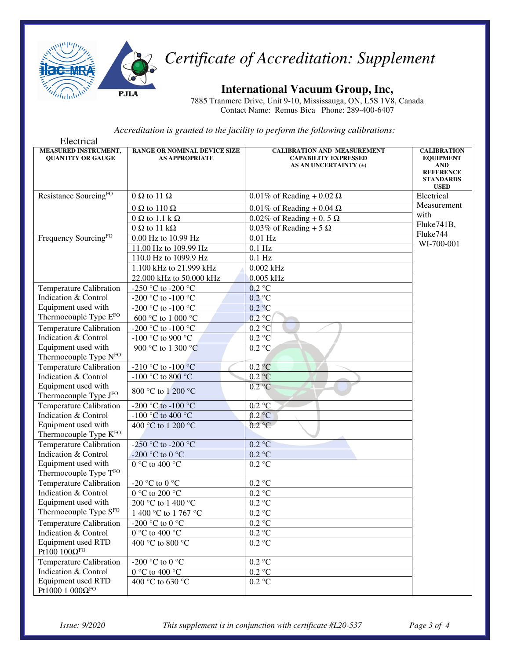

## *Certificate of Accreditation: Supplement*

**International Vacuum Group, Inc,** 

7885 Tranmere Drive, Unit 9-10, Mississauga, ON, L5S 1V8, Canada Contact Name: Remus Bica Phone: 289-400-6407

*Accreditation is granted to the facility to perform the following calibrations:*

| Electrical                                       |                                                              |                                                                                            |                                                                                                             |
|--------------------------------------------------|--------------------------------------------------------------|--------------------------------------------------------------------------------------------|-------------------------------------------------------------------------------------------------------------|
| MEASURED INSTRUMENT,<br><b>QUANTITY OR GAUGE</b> | <b>RANGE OR NOMINAL DEVICE SIZE</b><br><b>AS APPROPRIATE</b> | <b>CALIBRATION AND MEASUREMENT</b><br><b>CAPABILITY EXPRESSED</b><br>AS AN UNCERTAINTY (±) | <b>CALIBRATION</b><br><b>EQUIPMENT</b><br><b>AND</b><br><b>REFERENCE</b><br><b>STANDARDS</b><br><b>USED</b> |
| Resistance Sourcing <sup>FO</sup>                | $0 \Omega$ to 11 $\Omega$                                    | $0.01\%$ of Reading + 0.02 $\Omega$                                                        | Electrical                                                                                                  |
|                                                  | $0 \Omega$ to 110 $\Omega$                                   | $0.01\%$ of Reading + 0.04 $\Omega$                                                        | Measurement                                                                                                 |
|                                                  | $0 \Omega$ to 1.1 k $\Omega$                                 | 0.02% of Reading + 0.5 $\Omega$                                                            | with                                                                                                        |
|                                                  | $0 \Omega$ to 11 k $\Omega$                                  | 0.03% of Reading + 5 $\Omega$                                                              | Fluke741B,                                                                                                  |
| Frequency SourcingFO                             | 0.00 Hz to 10.99 Hz                                          | $0.01$ Hz                                                                                  | Fluke744                                                                                                    |
|                                                  | 11.00 Hz to 109.99 Hz                                        | $0.1$ Hz                                                                                   | WI-700-001                                                                                                  |
|                                                  | 110.0 Hz to 1099.9 Hz                                        | $0.1$ Hz                                                                                   |                                                                                                             |
|                                                  | 1.100 kHz to 21.999 kHz                                      | $0.002$ kHz                                                                                |                                                                                                             |
|                                                  | 22.000 kHz to 50.000 kHz                                     | $0.005$ kHz                                                                                |                                                                                                             |
| <b>Temperature Calibration</b>                   | -250 °C to -200 °C                                           | $0.2$ °C                                                                                   |                                                                                                             |
| Indication & Control                             | -200 °C to -100 °C                                           | $0.2$ °C                                                                                   |                                                                                                             |
| Equipment used with                              | -200 °C to -100 °C                                           | 0.2 °C                                                                                     |                                                                                                             |
| Thermocouple Type EFO                            | 600 °C to 1 000 °C                                           | 0.2 °C                                                                                     |                                                                                                             |
| <b>Temperature Calibration</b>                   | -200 °C to -100 °C                                           | 0.2 °C                                                                                     |                                                                                                             |
| Indication & Control                             | -100 °C to 900 °C                                            | 0.2 °C                                                                                     |                                                                                                             |
| Equipment used with                              | 900 °C to 1 300 °C                                           | $0.2 \text{ °C}$                                                                           |                                                                                                             |
| Thermocouple Type NFO                            |                                                              |                                                                                            |                                                                                                             |
| <b>Temperature Calibration</b>                   | -210 °C to -100 °C                                           | $0.2\degree C$                                                                             |                                                                                                             |
| Indication & Control                             | -100 °C to 800 °C                                            | $0.2$ °C                                                                                   |                                                                                                             |
| Equipment used with                              | 800 °C to 1 200 °C                                           | $0.2$ °C                                                                                   |                                                                                                             |
| Thermocouple Type JFO                            |                                                              |                                                                                            |                                                                                                             |
| <b>Temperature Calibration</b>                   | -200 °C to -100 °C                                           | $0.2 \text{ °C}$                                                                           |                                                                                                             |
| Indication & Control                             | -100 °C to 400 °C                                            | $0.2$ °C                                                                                   |                                                                                                             |
| Equipment used with                              | 400 °C to 1 200 °C                                           | 0.2 °C                                                                                     |                                                                                                             |
| Thermocouple Type KFO                            |                                                              |                                                                                            |                                                                                                             |
| <b>Temperature Calibration</b>                   | -250 °C to -200 °C                                           | $0.2 \text{ °C}$                                                                           |                                                                                                             |
| Indication & Control<br>Equipment used with      | -200 °C to 0 °C                                              | $0.2 \text{ °C}$                                                                           |                                                                                                             |
| Thermocouple Type TFO                            | 0 °C to 400 °C                                               | $0.2 \text{ °C}$                                                                           |                                                                                                             |
| <b>Temperature Calibration</b>                   | -20 $^{\circ}\textrm{C}$ to 0 $^{\circ}\textrm{C}$           | $0.2\ ^{\circ}\textrm{C}$                                                                  |                                                                                                             |
| Indication & Control                             | 0 °C to 200 °C                                               | $0.2~^\circ\mathrm{C}$                                                                     |                                                                                                             |
| Equipment used with                              | 200 °C to 1 400 °C                                           | $0.2\ ^{\circ}\textrm{C}$                                                                  |                                                                                                             |
| Thermocouple Type SFO                            | 1 400 °C to 1 767 °C                                         | 0.2 °C                                                                                     |                                                                                                             |
|                                                  | -200 °C to 0 °C                                              | $0.2\ ^{\circ}\textrm{C}$                                                                  |                                                                                                             |
| Temperature Calibration<br>Indication & Control  | 0 °C to 400 °C                                               |                                                                                            |                                                                                                             |
| Equipment used RTD                               | 400 °C to 800 °C                                             | $0.2~^\circ\mathrm{C}$                                                                     |                                                                                                             |
| Pt100 $100\Omega$ FO                             |                                                              | $0.2 \text{ }^{\circ}\text{C}$                                                             |                                                                                                             |
| <b>Temperature Calibration</b>                   | -200 °C to 0 °C                                              | $0.2\ ^{\circ}\textrm{C}$                                                                  |                                                                                                             |
| Indication & Control                             | $0\ ^{\circ}\textrm{C}$ to $400\ ^{\circ}\textrm{C}$         | $0.2~^\circ\mathrm{C}$                                                                     |                                                                                                             |
| Equipment used RTD                               | 400 °C to 630 °C                                             | $0.2~^\circ\mathrm{C}$                                                                     |                                                                                                             |
| Pt1000 1 $000\Omega^{\rm FO}$                    |                                                              |                                                                                            |                                                                                                             |